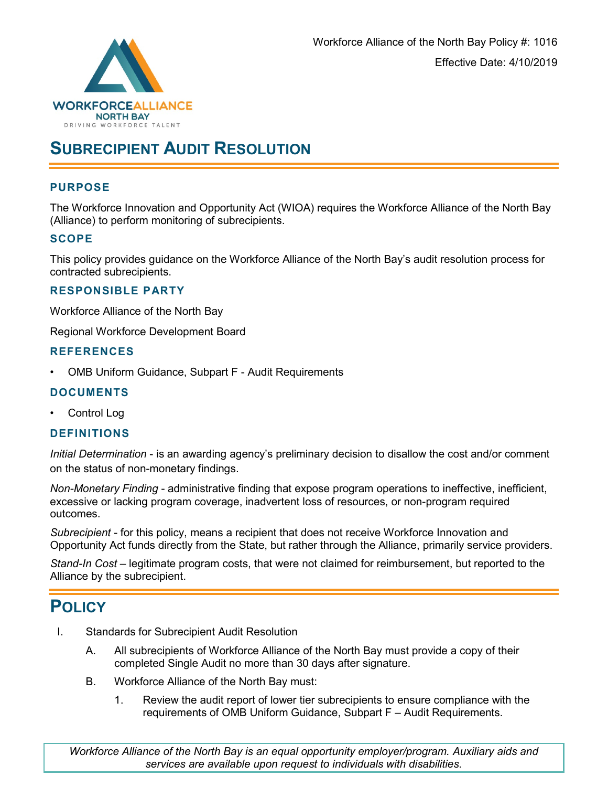

# **SUBRECIPIENT AUDIT RESOLUTION**

#### **PURPOSE**

The Workforce Innovation and Opportunity Act (WIOA) requires the Workforce Alliance of the North Bay (Alliance) to perform monitoring of subrecipients.

#### **SCOPE**

This policy provides guidance on the Workforce Alliance of the North Bay's audit resolution process for contracted subrecipients.

#### **RESPONSIBLE PARTY**

Workforce Alliance of the North Bay

Regional Workforce Development Board

#### **REFERENCES**

• OMB Uniform Guidance, Subpart F - Audit Requirements

#### **DOCUMENTS**

• Control Log

#### **DEFINITIONS**

*Initial Determination* - is an awarding agency's preliminary decision to disallow the cost and/or comment on the status of non-monetary findings.

*Non-Monetary Finding* - administrative finding that expose program operations to ineffective, inefficient, excessive or lacking program coverage, inadvertent loss of resources, or non-program required outcomes.

*Subrecipient* - for this policy, means a recipient that does not receive Workforce Innovation and Opportunity Act funds directly from the State, but rather through the Alliance, primarily service providers.

*Stand-In Cost* – legitimate program costs, that were not claimed for reimbursement, but reported to the Alliance by the subrecipient.

## **POLICY**

- I. Standards for Subrecipient Audit Resolution
	- A. All subrecipients of Workforce Alliance of the North Bay must provide a copy of their completed Single Audit no more than 30 days after signature.
	- B. Workforce Alliance of the North Bay must:
		- 1. Review the audit report of lower tier subrecipients to ensure compliance with the requirements of OMB Uniform Guidance, Subpart F – Audit Requirements.

*Workforce Alliance of the North Bay is an equal opportunity employer/program. Auxiliary aids and services are available upon request to individuals with disabilities.*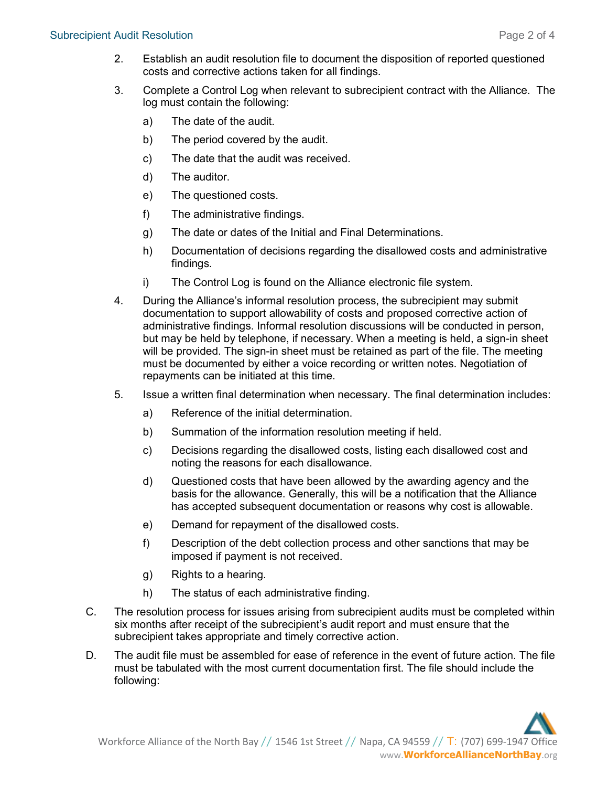- 2. Establish an audit resolution file to document the disposition of reported questioned costs and corrective actions taken for all findings.
- 3. Complete a Control Log when relevant to subrecipient contract with the Alliance. The log must contain the following:
	- a) The date of the audit.
	- b) The period covered by the audit.
	- c) The date that the audit was received.
	- d) The auditor.
	- e) The questioned costs.
	- f) The administrative findings.
	- g) The date or dates of the Initial and Final Determinations.
	- h) Documentation of decisions regarding the disallowed costs and administrative findings.
	- i) The Control Log is found on the Alliance electronic file system.
- 4. During the Alliance's informal resolution process, the subrecipient may submit documentation to support allowability of costs and proposed corrective action of administrative findings. Informal resolution discussions will be conducted in person, but may be held by telephone, if necessary. When a meeting is held, a sign-in sheet will be provided. The sign-in sheet must be retained as part of the file. The meeting must be documented by either a voice recording or written notes. Negotiation of repayments can be initiated at this time.
- 5. Issue a written final determination when necessary. The final determination includes:
	- a) Reference of the initial determination.
	- b) Summation of the information resolution meeting if held.
	- c) Decisions regarding the disallowed costs, listing each disallowed cost and noting the reasons for each disallowance.
	- d) Questioned costs that have been allowed by the awarding agency and the basis for the allowance. Generally, this will be a notification that the Alliance has accepted subsequent documentation or reasons why cost is allowable.
	- e) Demand for repayment of the disallowed costs.
	- f) Description of the debt collection process and other sanctions that may be imposed if payment is not received.
	- g) Rights to a hearing.
	- h) The status of each administrative finding.
- C. The resolution process for issues arising from subrecipient audits must be completed within six months after receipt of the subrecipient's audit report and must ensure that the subrecipient takes appropriate and timely corrective action.
- D. The audit file must be assembled for ease of reference in the event of future action. The file must be tabulated with the most current documentation first. The file should include the following: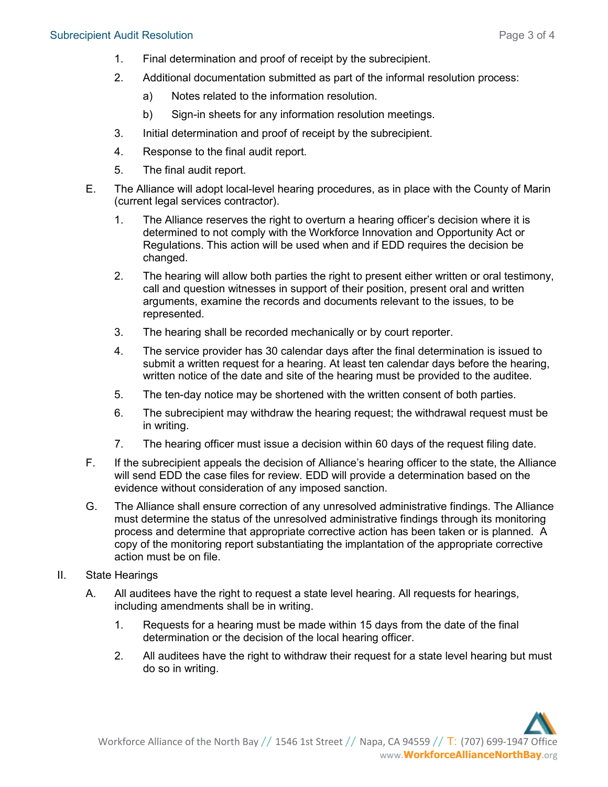- 1. Final determination and proof of receipt by the subrecipient.
- 2. Additional documentation submitted as part of the informal resolution process:
	- a) Notes related to the information resolution.
	- b) Sign-in sheets for any information resolution meetings.
- 3. Initial determination and proof of receipt by the subrecipient.
- 4. Response to the final audit report.
- 5. The final audit report.
- E. The Alliance will adopt local-level hearing procedures, as in place with the County of Marin (current legal services contractor).
	- 1. The Alliance reserves the right to overturn a hearing officer's decision where it is determined to not comply with the Workforce Innovation and Opportunity Act or Regulations. This action will be used when and if EDD requires the decision be changed.
	- 2. The hearing will allow both parties the right to present either written or oral testimony, call and question witnesses in support of their position, present oral and written arguments, examine the records and documents relevant to the issues, to be represented.
	- 3. The hearing shall be recorded mechanically or by court reporter.
	- 4. The service provider has 30 calendar days after the final determination is issued to submit a written request for a hearing. At least ten calendar days before the hearing, written notice of the date and site of the hearing must be provided to the auditee.
	- 5. The ten-day notice may be shortened with the written consent of both parties.
	- 6. The subrecipient may withdraw the hearing request; the withdrawal request must be in writing.
	- 7. The hearing officer must issue a decision within 60 days of the request filing date.
- F. If the subrecipient appeals the decision of Alliance's hearing officer to the state, the Alliance will send EDD the case files for review. EDD will provide a determination based on the evidence without consideration of any imposed sanction.
- G. The Alliance shall ensure correction of any unresolved administrative findings. The Alliance must determine the status of the unresolved administrative findings through its monitoring process and determine that appropriate corrective action has been taken or is planned. A copy of the monitoring report substantiating the implantation of the appropriate corrective action must be on file.
- II. State Hearings
	- A. All auditees have the right to request a state level hearing. All requests for hearings, including amendments shall be in writing.
		- 1. Requests for a hearing must be made within 15 days from the date of the final determination or the decision of the local hearing officer.
		- 2. All auditees have the right to withdraw their request for a state level hearing but must do so in writing.